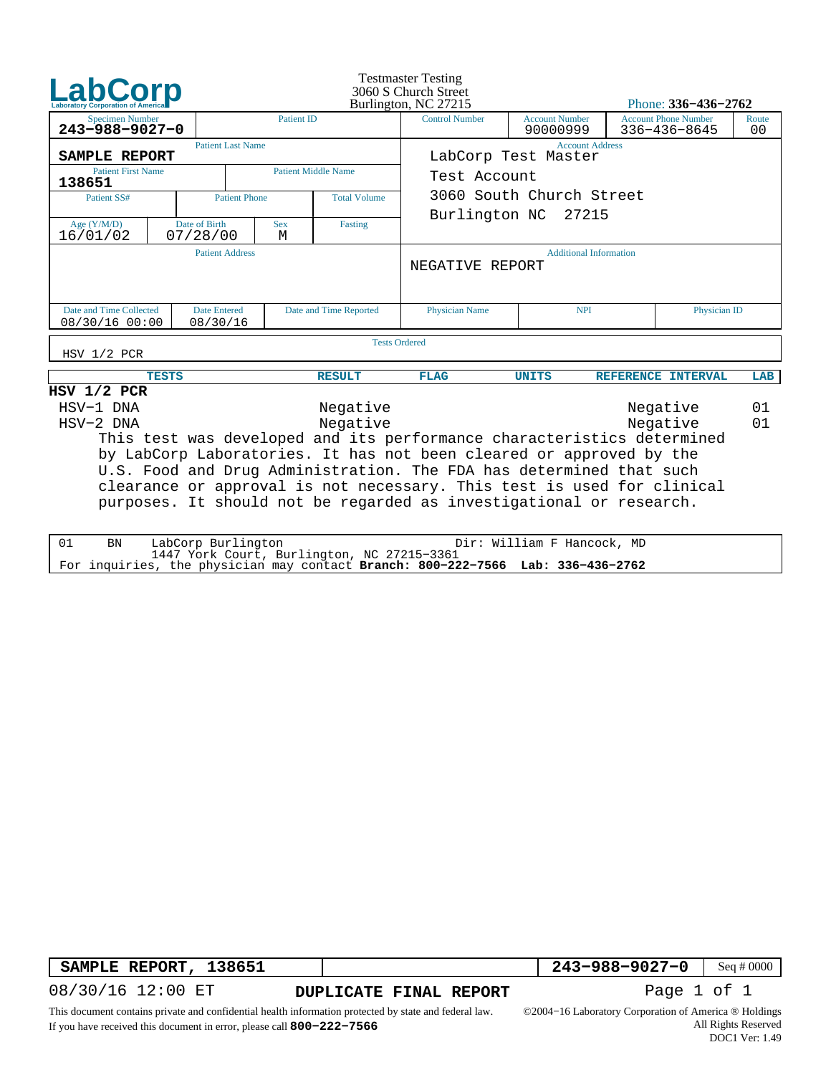|                                                                                                                                                                                                                                                                                                                                                                                                                                                                    |              |                           |                        | <b>Testmaster Testing</b><br>3060 S Church Street<br>Burlington, NC 27215 |                                               | Phone: 336-436-2762               |                                             |  |                         |  |
|--------------------------------------------------------------------------------------------------------------------------------------------------------------------------------------------------------------------------------------------------------------------------------------------------------------------------------------------------------------------------------------------------------------------------------------------------------------------|--------------|---------------------------|------------------------|---------------------------------------------------------------------------|-----------------------------------------------|-----------------------------------|---------------------------------------------|--|-------------------------|--|
| <b>Specimen Number</b><br>243-988-9027-0                                                                                                                                                                                                                                                                                                                                                                                                                           |              |                           | <b>Patient ID</b>      |                                                                           | <b>Control Number</b>                         | <b>Account Number</b><br>90000999 | <b>Account Phone Number</b><br>336-436-8645 |  | Route<br>0 <sub>0</sub> |  |
| SAMPLE REPORT                                                                                                                                                                                                                                                                                                                                                                                                                                                      |              | <b>Patient Last Name</b>  |                        |                                                                           | <b>Account Address</b><br>LabCorp Test Master |                                   |                                             |  |                         |  |
| <b>Patient First Name</b><br>138651                                                                                                                                                                                                                                                                                                                                                                                                                                |              |                           |                        | <b>Patient Middle Name</b>                                                | Test Account                                  |                                   |                                             |  |                         |  |
| Patient SS#                                                                                                                                                                                                                                                                                                                                                                                                                                                        |              | <b>Patient Phone</b>      | <b>Total Volume</b>    |                                                                           | 3060 South Church Street                      |                                   |                                             |  |                         |  |
| Age $(Y/M/D)$<br>16/01/02                                                                                                                                                                                                                                                                                                                                                                                                                                          |              | Date of Birth<br>07/28/00 | <b>Sex</b><br>М        | Fasting                                                                   | Burlington NC 27215                           |                                   |                                             |  |                         |  |
|                                                                                                                                                                                                                                                                                                                                                                                                                                                                    |              | <b>Patient Address</b>    |                        |                                                                           | NEGATIVE REPORT                               | <b>Additional Information</b>     |                                             |  |                         |  |
| Date and Time Collected<br>Date Entered<br>08/30/16 00:00<br>08/30/16                                                                                                                                                                                                                                                                                                                                                                                              |              |                           | Date and Time Reported | <b>Physician Name</b>                                                     | <b>NPI</b>                                    |                                   | Physician ID                                |  |                         |  |
| HSV 1/2 PCR                                                                                                                                                                                                                                                                                                                                                                                                                                                        |              |                           |                        |                                                                           | <b>Tests Ordered</b>                          |                                   |                                             |  |                         |  |
|                                                                                                                                                                                                                                                                                                                                                                                                                                                                    | <b>TESTS</b> |                           |                        | <b>RESULT</b>                                                             | <b>FLAG</b>                                   | <b>UNITS</b>                      | REFERENCE INTERVAL                          |  | LAB                     |  |
| $HSV$ $1/2$ PCR<br>HSV-1 DNA<br>Negative<br>Negative<br>Negative<br>Negative<br>HSV-2 DNA<br>This test was developed and its performance characteristics determined<br>by LabCorp Laboratories. It has not been cleared or approved by the<br>U.S. Food and Drug Administration. The FDA has determined that such<br>clearance or approval is not necessary. This test is used for clinical<br>purposes. It should not be regarded as investigational or research. |              |                           |                        |                                                                           |                                               |                                   | 01<br>01                                    |  |                         |  |

| BN | Dir: William F Hancock, MD<br>LabCorp Burlington                                |  |
|----|---------------------------------------------------------------------------------|--|
|    | 1447 York Court, Burlington, NC 27215-3361                                      |  |
|    | For inquiries, the physician may contact Branch: 800-222-7566 Lab: 336-436-2762 |  |

**SAMPLE REPORT, 138651** 

**DUPLICATE FINAL REPORT Page 1 of 1** 

 **243−988−9027−0** Seq # 0000

08/30/16 12:00 ET

This document contains private and confidential health information protected by state and federal law. If you have received this document in error, please call **800−222−7566**

©2004−16 Laboratory Corporation of America ® Holdings All Rights Reserved DOC1 Ver: 1.49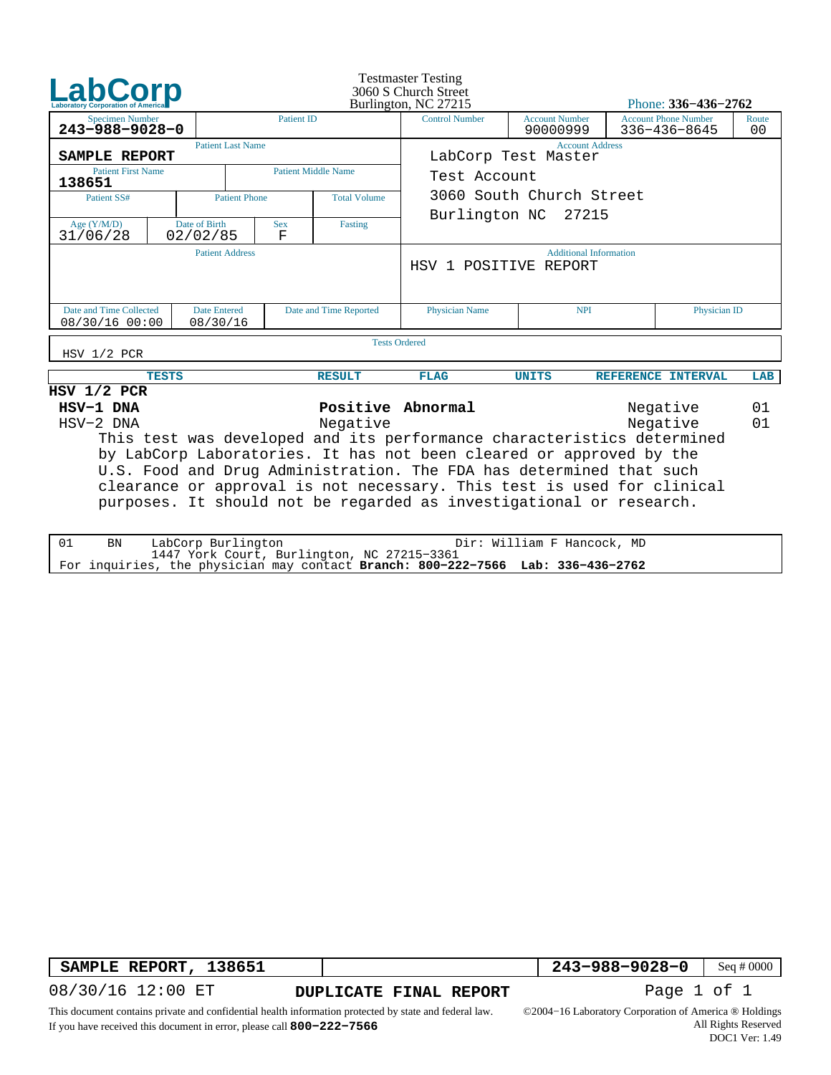|                                                                                                                                                                                                                                                                                                                                                                                                                                                                               |                                                                                                        |                           |                     |                            | <b>Testmaster Testing</b><br>3060 S Church Street<br>Burlington, NC 27215 | Phone: 336-436-2762               |                                                   |                         |  |  |
|-------------------------------------------------------------------------------------------------------------------------------------------------------------------------------------------------------------------------------------------------------------------------------------------------------------------------------------------------------------------------------------------------------------------------------------------------------------------------------|--------------------------------------------------------------------------------------------------------|---------------------------|---------------------|----------------------------|---------------------------------------------------------------------------|-----------------------------------|---------------------------------------------------|-------------------------|--|--|
| <b>Specimen Number</b><br>243-988-9028-0                                                                                                                                                                                                                                                                                                                                                                                                                                      |                                                                                                        |                           | <b>Patient ID</b>   | <b>Control Number</b>      |                                                                           | <b>Account Number</b><br>90000999 | <b>Account Phone Number</b><br>$336 - 436 - 8645$ | Route<br>0 <sub>0</sub> |  |  |
| SAMPLE REPORT                                                                                                                                                                                                                                                                                                                                                                                                                                                                 |                                                                                                        | <b>Patient Last Name</b>  |                     |                            | <b>Account Address</b><br>LabCorp Test Master                             |                                   |                                                   |                         |  |  |
| <b>Patient First Name</b><br>138651                                                                                                                                                                                                                                                                                                                                                                                                                                           |                                                                                                        |                           |                     | <b>Patient Middle Name</b> | Test Account                                                              |                                   |                                                   |                         |  |  |
| Patient SS#                                                                                                                                                                                                                                                                                                                                                                                                                                                                   |                                                                                                        | <b>Patient Phone</b>      | <b>Total Volume</b> |                            | 3060 South Church Street                                                  |                                   |                                                   |                         |  |  |
| Age $(Y/M/D)$<br>31/06/28                                                                                                                                                                                                                                                                                                                                                                                                                                                     |                                                                                                        | Date of Birth<br>02/02/85 | <b>Sex</b><br>F     | Fasting                    | Burlington NC 27215                                                       |                                   |                                                   |                         |  |  |
|                                                                                                                                                                                                                                                                                                                                                                                                                                                                               |                                                                                                        | <b>Patient Address</b>    |                     |                            | HSV 1 POSITIVE REPORT                                                     | <b>Additional Information</b>     |                                                   |                         |  |  |
|                                                                                                                                                                                                                                                                                                                                                                                                                                                                               | Date and Time Collected<br><b>Date Entered</b><br>Date and Time Reported<br>08/30/16 00:00<br>08/30/16 |                           |                     |                            | Physician Name                                                            | <b>NPI</b>                        | Physician ID                                      |                         |  |  |
| HSV 1/2 PCR                                                                                                                                                                                                                                                                                                                                                                                                                                                                   |                                                                                                        |                           |                     |                            | <b>Tests Ordered</b>                                                      |                                   |                                                   |                         |  |  |
|                                                                                                                                                                                                                                                                                                                                                                                                                                                                               | <b>TESTS</b>                                                                                           |                           |                     | <b>RESULT</b>              | <b>FLAG</b>                                                               | <b>UNITS</b>                      | REFERENCE INTERVAL                                | LAB                     |  |  |
| $HSV$ $1/2$ $PCR$<br>Positive Abnormal<br>HSV-1 DNA<br>Negative<br>Negative<br>Negative<br>HSV-2 DNA<br>This test was developed and its performance characteristics determined<br>by LabCorp Laboratories. It has not been cleared or approved by the<br>U.S. Food and Drug Administration. The FDA has determined that such<br>clearance or approval is not necessary. This test is used for clinical<br>purposes. It should not be regarded as investigational or research. |                                                                                                        |                           |                     |                            |                                                                           |                                   | 01<br>01                                          |                         |  |  |

| 01 | BN | Dir: William F Hancock, MD<br>LabCorp Burlington                                |  |
|----|----|---------------------------------------------------------------------------------|--|
|    |    | 1447 York Court, Burlington, NC 27215-3361                                      |  |
|    |    | For inquiries, the physician may contact Branch: 800-222-7566 Lab: 336-436-2762 |  |

**SAMPLE REPORT, 138651** 

**DUPLICATE FINAL REPORT Page 1 of 1** 

 **243−988−9028−0** Seq # 0000

08/30/16 12:00 ET

This document contains private and confidential health information protected by state and federal law.

If you have received this document in error, please call **800−222−7566**

©2004−16 Laboratory Corporation of America ® Holdings All Rights Reserved DOC1 Ver: 1.49